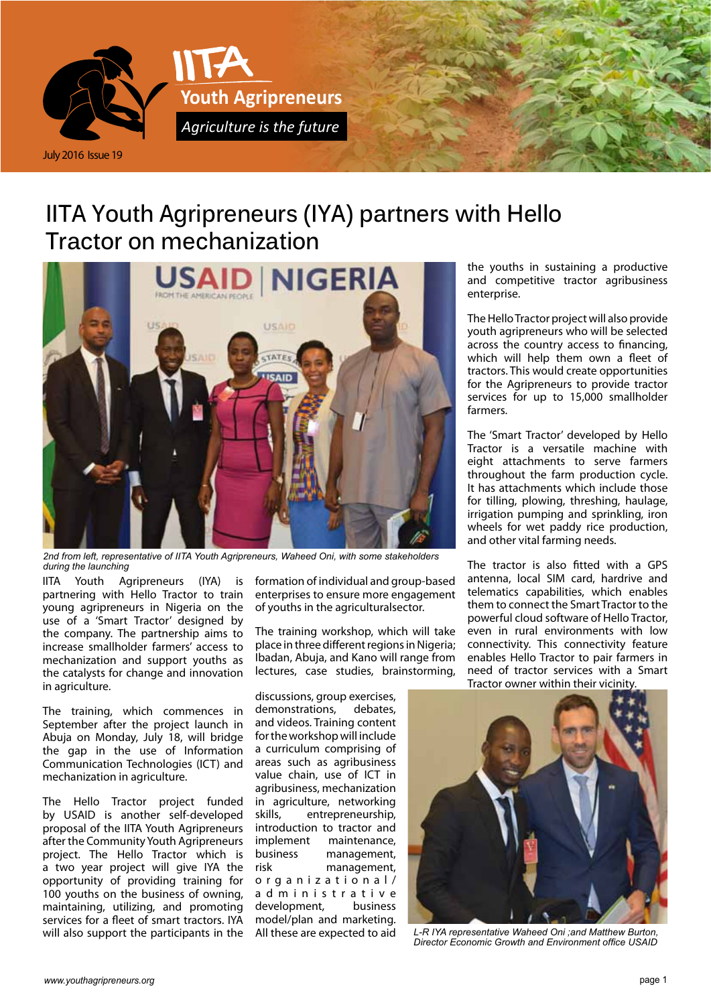

## **IITA Youth Agripreneurs (IYA) partners with Hello Tractor on mechanization**



*2nd from left, representative of IITA Youth Agripreneurs, Waheed Oni, with some stakeholders during the launching*

IITA Youth Agripreneurs (IYA) is partnering with Hello Tractor to train young agripreneurs in Nigeria on the use of a 'Smart Tractor' designed by the company. The partnership aims to increase smallholder farmers' access to mechanization and support youths as the catalysts for change and innovation in agriculture.

The training, which commences in September after the project launch in Abuja on Monday, July 18, will bridge the gap in the use of Information Communication Technologies (ICT) and mechanization in agriculture.

The Hello Tractor project funded by USAID is another self-developed proposal of the IITA Youth Agripreneurs after the Community Youth Agripreneurs project. The Hello Tractor which is a two year project will give IYA the opportunity of providing training for 100 youths on the business of owning, maintaining, utilizing, and promoting services for a fleet of smart tractors. IYA will also support the participants in the

formation of individual and group-based enterprises to ensure more engagement of youths in the agriculturalsector.

The training workshop, which will take place in three different regions in Nigeria; Ibadan, Abuja, and Kano will range from lectures, case studies, brainstorming,

discussions, group exercises, demonstrations, debates, and videos. Training content for the workshop will include a curriculum comprising of areas such as agribusiness value chain, use of ICT in agribusiness, mechanization in agriculture, networking skills, entrepreneurship, introduction to tractor and implement maintenance, business management, risk management, organizational/ a d m i n i s t r a t i v e development, business model/plan and marketing. All these are expected to aid

the youths in sustaining a productive and competitive tractor agribusiness enterprise.

The Hello Tractor project will also provide youth agripreneurs who will be selected across the country access to financing, which will help them own a fleet of tractors. This would create opportunities for the Agripreneurs to provide tractor services for up to 15,000 smallholder farmers.

The 'Smart Tractor' developed by Hello Tractor is a versatile machine with eight attachments to serve farmers throughout the farm production cycle. It has attachments which include those for tilling, plowing, threshing, haulage, irrigation pumping and sprinkling, iron wheels for wet paddy rice production, and other vital farming needs.

The tractor is also fitted with a GPS antenna, local SIM card, hardrive and telematics capabilities, which enables them to connect the Smart Tractor to the powerful cloud software of Hello Tractor, even in rural environments with low connectivity. This connectivity feature enables Hello Tractor to pair farmers in need of tractor services with a Smart Tractor owner within their vicinity.



*L-R IYA representative Waheed Oni ;and Matthew Burton, Director Economic Growth and Environment office USAID*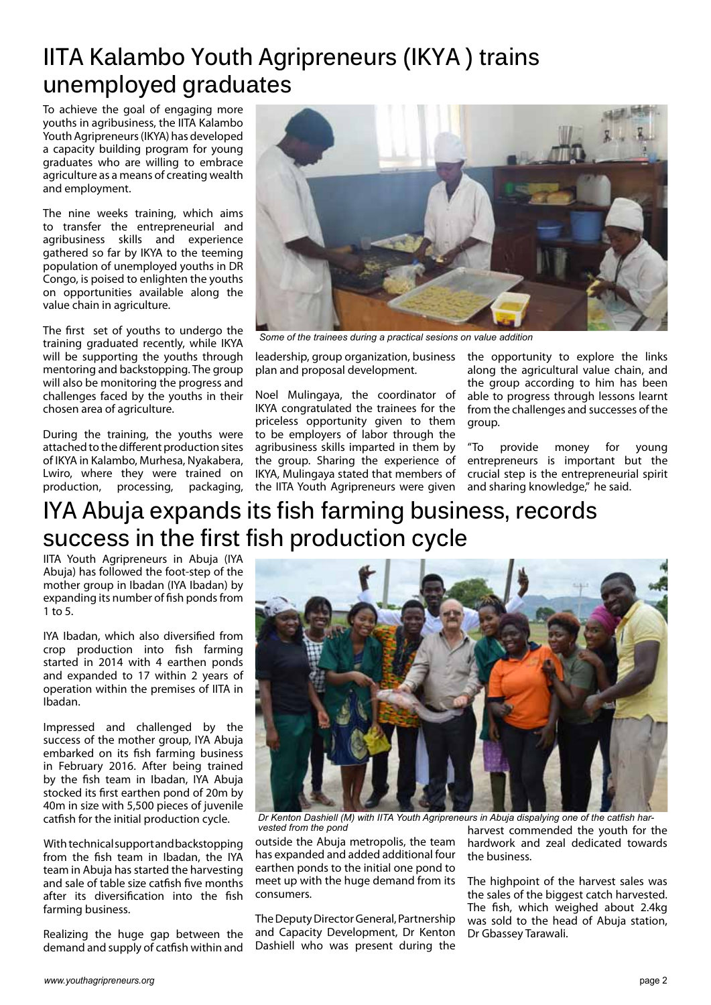## **IITA Kalambo Youth Agripreneurs (IKYA ) trains unemployed graduates**

To achieve the goal of engaging more youths in agribusiness, the IITA Kalambo Youth Agripreneurs (IKYA) has developed a capacity building program for young graduates who are willing to embrace agriculture as a means of creating wealth and employment.

The nine weeks training, which aims to transfer the entrepreneurial and agribusiness skills and experience gathered so far by IKYA to the teeming population of unemployed youths in DR Congo, is poised to enlighten the youths on opportunities available along the value chain in agriculture.

The first set of youths to undergo the training graduated recently, while IKYA will be supporting the youths through mentoring and backstopping. The group will also be monitoring the progress and challenges faced by the youths in their chosen area of agriculture.

During the training, the youths were attached to the different production sites of IKYA in Kalambo, Murhesa, Nyakabera, Lwiro, where they were trained on production, processing, packaging,



*Some of the trainees during a practical sesions on value addition*

leadership, group organization, business plan and proposal development.

Noel Mulingaya, the coordinator of IKYA congratulated the trainees for the priceless opportunity given to them to be employers of labor through the agribusiness skills imparted in them by the group. Sharing the experience of IKYA, Mulingaya stated that members of the IITA Youth Agripreneurs were given the opportunity to explore the links along the agricultural value chain, and the group according to him has been able to progress through lessons learnt from the challenges and successes of the group.

"To provide money for young entrepreneurs is important but the crucial step is the entrepreneurial spirit and sharing knowledge," he said.

# **IYA Abuja expands its fish farming business, records success in the first fish production cycle**

IITA Youth Agripreneurs in Abuja (IYA Abuja) has followed the foot-step of the mother group in Ibadan (IYA Ibadan) by expanding its number of fish ponds from 1 to 5.

IYA Ibadan, which also diversified from crop production into fish farming started in 2014 with 4 earthen ponds and expanded to 17 within 2 years of operation within the premises of IITA in Ibadan.

Impressed and challenged by the success of the mother group, IYA Abuja embarked on its fish farming business in February 2016. After being trained by the fish team in Ibadan, IYA Abuja stocked its first earthen pond of 20m by 40m in size with 5,500 pieces of juvenile catfish for the initial production cycle.

 With technical support and backstopping from the fish team in Ibadan, the IYA team in Abuja has started the harvesting and sale of table size catfish five months after its diversification into the fish farming business.

Realizing the huge gap between the demand and supply of catfish within and



*Dr Kenton Dashiell (M) with IITA Youth Agripreneurs in Abuja dispalying one of the catfish harvested from the pond*

outside the Abuja metropolis, the team has expanded and added additional four earthen ponds to the initial one pond to meet up with the huge demand from its consumers.

The Deputy Director General, Partnership and Capacity Development, Dr Kenton Dashiell who was present during the harvest commended the youth for the hardwork and zeal dedicated towards the business.

The highpoint of the harvest sales was the sales of the biggest catch harvested. The fish, which weighed about 2.4kg was sold to the head of Abuja station, Dr Gbassey Tarawali.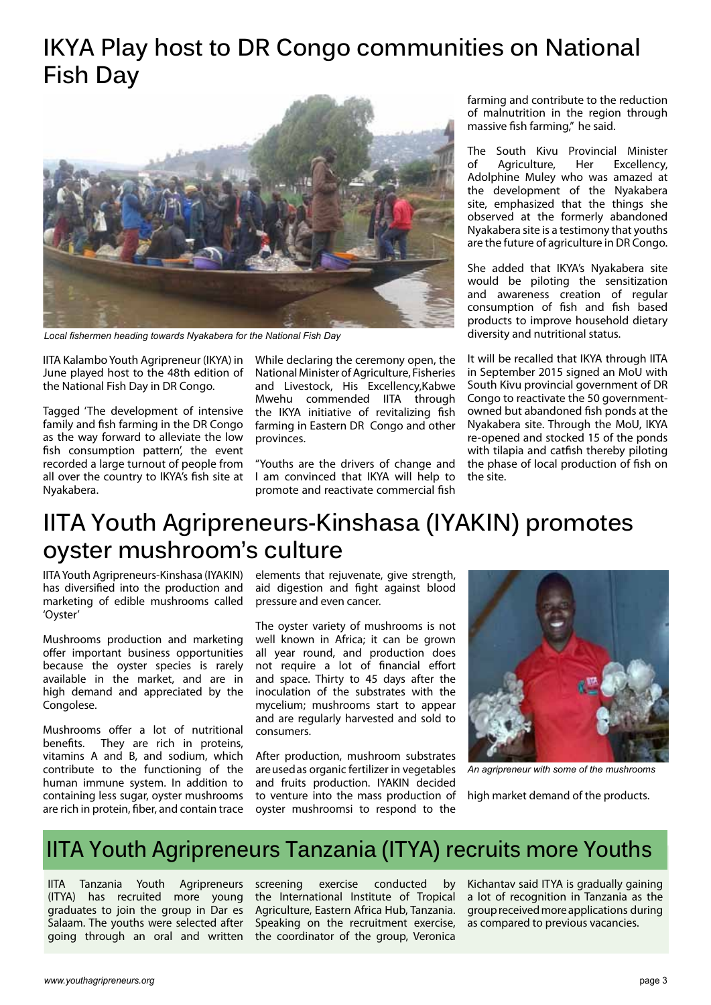## **IKYA Play host to DR Congo communities on National Fish Day**



*Local fishermen heading towards Nyakabera for the National Fish Day*

IITA Kalambo Youth Agripreneur (IKYA) in June played host to the 48th edition of the National Fish Day in DR Congo.

Tagged 'The development of intensive family and fish farming in the DR Congo as the way forward to alleviate the low fish consumption pattern', the event recorded a large turnout of people from all over the country to IKYA's fish site at Nyakabera.

While declaring the ceremony open, the National Minister of Agriculture, Fisheries and Livestock, His Excellency,Kabwe Mwehu commended IITA through the IKYA initiative of revitalizing fish farming in Eastern DR Congo and other provinces.

"Youths are the drivers of change and I am convinced that IKYA will help to promote and reactivate commercial fish

farming and contribute to the reduction of malnutrition in the region through massive fish farming," he said.

The South Kivu Provincial Minister of Agriculture, Her Excellency, Adolphine Muley who was amazed at the development of the Nyakabera site, emphasized that the things she observed at the formerly abandoned Nyakabera site is a testimony that youths are the future of agriculture in DR Congo.

She added that IKYA's Nyakabera site would be piloting the sensitization and awareness creation of regular consumption of fish and fish based products to improve household dietary diversity and nutritional status.

It will be recalled that IKYA through IITA in September 2015 signed an MoU with South Kivu provincial government of DR Congo to reactivate the 50 governmentowned but abandoned fish ponds at the Nyakabera site. Through the MoU, IKYA re-opened and stocked 15 of the ponds with tilapia and catfish thereby piloting the phase of local production of fish on the site.

### **IITA Youth Agripreneurs-Kinshasa (IYAKIN) promotes oyster mushroom's culture**

IITA Youth Agripreneurs-Kinshasa (IYAKIN) has diversified into the production and marketing of edible mushrooms called 'Oyster'

Mushrooms production and marketing offer important business opportunities because the oyster species is rarely available in the market, and are in high demand and appreciated by the Congolese.

Mushrooms offer a lot of nutritional benefits. They are rich in proteins, vitamins A and B, and sodium, which contribute to the functioning of the human immune system. In addition to containing less sugar, oyster mushrooms are rich in protein, fiber, and contain trace

elements that rejuvenate, give strength, aid digestion and fight against blood pressure and even cancer.

The oyster variety of mushrooms is not well known in Africa; it can be grown all year round, and production does not require a lot of financial effort and space. Thirty to 45 days after the inoculation of the substrates with the mycelium; mushrooms start to appear and are regularly harvested and sold to consumers.

After production, mushroom substrates are used as organic fertilizer in vegetables and fruits production. IYAKIN decided to venture into the mass production of oyster mushroomsi to respond to the



*An agripreneur with some of the mushrooms*

high market demand of the products.

### **IITA Youth Agripreneurs Tanzania (ITYA) recruits more Youths**

IITA Tanzania Youth Agripreneurs (ITYA) has recruited more young graduates to join the group in Dar es Salaam. The youths were selected after going through an oral and written

screening exercise conducted by the International Institute of Tropical Agriculture, Eastern Africa Hub, Tanzania. Speaking on the recruitment exercise, the coordinator of the group, Veronica

Kichantav said ITYA is gradually gaining a lot of recognition in Tanzania as the group received more applications during as compared to previous vacancies.